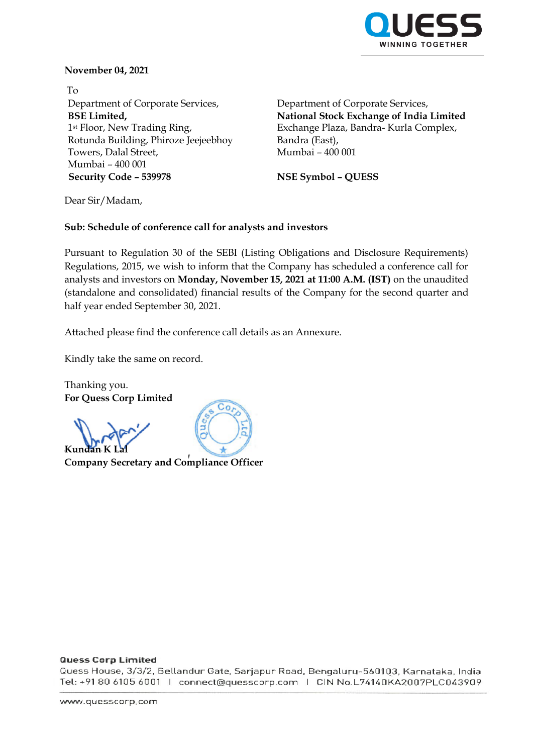

# **November 04, 2021**

To Department of Corporate Services, **BSE Limited,** 1st Floor, New Trading Ring, Rotunda Building, Phiroze Jeejeebhoy Towers, Dalal Street, Mumbai – 400 001 **Security Code – 539978 NSE Symbol – QUESS**

Department of Corporate Services, **National Stock Exchange of India Limited** Exchange Plaza, Bandra- Kurla Complex, Bandra (East), Mumbai – 400 001

Dear Sir/Madam,

### **Sub: Schedule of conference call for analysts and investors**

Pursuant to Regulation 30 of the SEBI (Listing Obligations and Disclosure Requirements) Regulations, 2015, we wish to inform that the Company has scheduled a conference call for analysts and investors on **Monday, November 15, 2021 at 11:00 A.M. (IST)** on the unaudited (standalone and consolidated) financial results of the Company for the second quarter and half year ended September 30, 2021.

Attached please find the conference call details as an Annexure.

 $Co$ 

Kindly take the same on record.

Thanking you. **For Quess Corp Limited**

**Kunda** 

**Company Secretary and Compliance Officer**

#### **Quess Corp Limited**

Quess House, 3/3/2, Bellandur Gate, Sarjapur Road, Bengaluru-560103, Karnataka, India Tel: +91 80 6105 6001 | connect@quesscorp.com | CIN No.L74140KA2007PLC043909